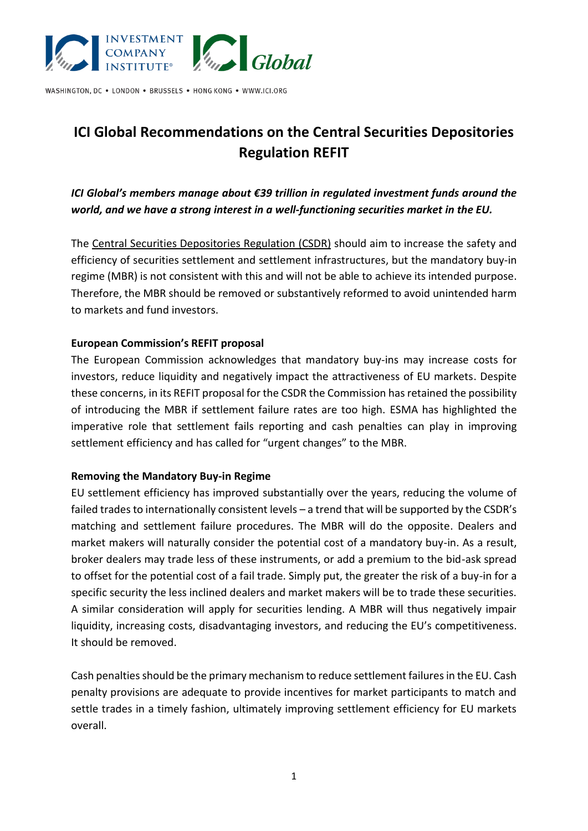

WASHINGTON, DC . LONDON . BRUSSELS . HONG KONG . WWW.ICI.ORG

# **ICI Global Recommendations on the Central Securities Depositories Regulation REFIT**

*ICI Global's members manage about €39 trillion in regulated investment funds around the world, and we have a strong interest in a well-functioning securities market in the EU.*

The [Central Securities Depositories Regulation \(CSDR\)](https://eur-lex.europa.eu/legal-content/EN/TXT/?uri=celex%3A32014R0909) should aim to increase the safety and efficiency of securities settlement and settlement infrastructures, but the mandatory buy-in regime (MBR) is not consistent with this and will not be able to achieve its intended purpose. Therefore, the MBR should be removed or substantively reformed to avoid unintended harm to markets and fund investors.

#### **European Commission's REFIT proposal**

The European Commission [acknowledges](https://ec.europa.eu/finance/docs/law/220316-csdr-review-impact-assessment_en.pdf) that mandatory buy-ins may increase costs for investors, reduce liquidity and negatively impact the attractiveness of EU markets. Despite these concerns, in it[s REFIT proposal for the CSDR t](https://ec.europa.eu/finance/docs/law/220316-csdr-review-proposal_en.pdf)he Commission has retained the possibility of introducing the MBR if settlement failure rates are too high. ESMA has [highlighted](https://www.esma.europa.eu/sites/default/files/library/esma70-156-4963_letter_-_esma_to_ec_on_csdr_settlement_discipline.pdf) the imperative role that settlement fails reporting and cash penalties can play in improving settlement efficiency and has [called](https://www.esma.europa.eu/sites/default/files/library/esma70-156-5153_public_statement_on_buy-in.pdf) for "urgent changes" to the MBR.

#### **Removing the Mandatory Buy-in Regime**

EU settlement efficiency has improved substantially over the years, reducing the volume of failed trades to internationally consistent levels – a trend that will be supported by the CSDR's matching and settlement failure procedures. The MBR will do the opposite. Dealers and market makers will naturally consider the potential cost of a mandatory buy-in. As a result, broker dealers may trade less of these instruments, or add a premium to the bid-ask spread to offset for the potential cost of a fail trade. Simply put, the greater the risk of a buy-in for a specific security the less inclined dealers and market makers will be to trade these securities. A similar consideration will apply for securities lending. A MBR will thus negatively impair liquidity, increasing costs, disadvantaging investors, and reducing the EU's competitiveness. It should be removed.

Cash penalties should be the primary mechanism to reduce settlement failures in the EU. Cash penalty provisions are adequate to provide incentives for market participants to match and settle trades in a timely fashion, ultimately improving settlement efficiency for EU markets overall.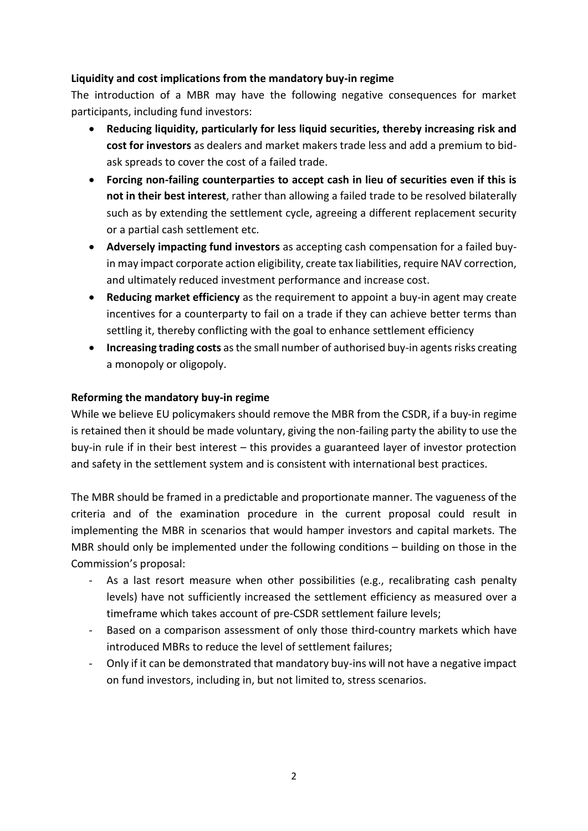## **Liquidity and cost implications from the mandatory buy-in regime**

The introduction of a MBR may have the following negative consequences for market participants, including fund investors:

- **Reducing liquidity, particularly for less liquid securities, thereby increasing risk and cost for investors** as dealers and market makers trade less and add a premium to bidask spreads to cover the cost of a failed trade.
- **Forcing non-failing counterparties to accept cash in lieu of securities even if this is not in their best interest**, rather than allowing a failed trade to be resolved bilaterally such as by extending the settlement cycle, agreeing a different replacement security or a partial cash settlement etc.
- **Adversely impacting fund investors** as accepting cash compensation for a failed buyin may impact corporate action eligibility, create tax liabilities, require NAV correction, and ultimately reduced investment performance and increase cost.
- **Reducing market efficiency** as the requirement to appoint a buy-in agent may create incentives for a counterparty to fail on a trade if they can achieve better terms than settling it, thereby conflicting with the goal to enhance settlement efficiency
- Increasing trading costs as the small number of authorised buy-in agents risks creating a monopoly or oligopoly.

## **Reforming the mandatory buy-in regime**

While we believe EU policymakers should remove the MBR from the CSDR, if a buy-in regime is retained then it should be made voluntary, giving the non-failing party the ability to use the buy-in rule if in their best interest – this provides a guaranteed layer of investor protection and safety in the settlement system and is consistent with international best practices.

The MBR should be framed in a predictable and proportionate manner. The vagueness of the criteria and of the examination procedure in the current proposal could result in implementing the MBR in scenarios that would hamper investors and capital markets. The MBR should only be implemented under the following conditions – building on those in the Commission's proposal:

- As a last resort measure when other possibilities (e.g., recalibrating cash penalty levels) have not sufficiently increased the settlement efficiency as measured over a timeframe which takes account of pre-CSDR settlement failure levels;
- Based on a comparison assessment of only those third-country markets which have introduced MBRs to reduce the level of settlement failures;
- Only if it can be demonstrated that mandatory buy-ins will not have a negative impact on fund investors, including in, but not limited to, stress scenarios.